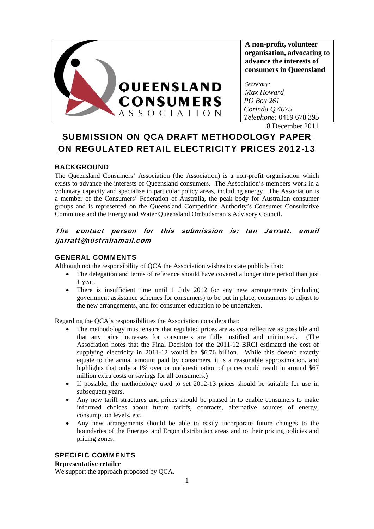

**A non-profit, volunteer organisation, advocating to advance the interests of consumers in Queensland** 

*Secretary: Max Howard PO Box 261 Corinda Q 4075 Telephone:* 0419 678 395

8 December 2011

# SUBMISSION ON QCA DRAFT METHODOLOGY PAPER ON REGULATED RETAIL ELECTRICITY PRICES 2012-13

### BACKGROUND

The Queensland Consumers' Association (the Association) is a non-profit organisation which exists to advance the interests of Queensland consumers. The Association's members work in a voluntary capacity and specialise in particular policy areas, including energy. The Association is a member of the Consumers' Federation of Australia, the peak body for Australian consumer groups and is represented on the Queensland Competition Authority's Consumer Consultative Committee and the Energy and Water Queensland Ombudsman's Advisory Council.

## The contact person for this submission is: Ian Jarratt, email ijarratt@australiamail.com

### GENERAL COMMENTS

Although not the responsibility of QCA the Association wishes to state publicly that:

- The delegation and terms of reference should have covered a longer time period than just 1 year.
- There is insufficient time until 1 July 2012 for any new arrangements (including government assistance schemes for consumers) to be put in place, consumers to adjust to the new arrangements, and for consumer education to be undertaken.

Regarding the QCA's responsibilities the Association considers that:

- The methodology must ensure that regulated prices are as cost reflective as possible and that any price increases for consumers are fully justified and minimised. (The Association notes that the Final Decision for the 2011-12 BRCI estimated the cost of supplying electricity in 2011-12 would be \$6.76 billion. While this doesn't exactly equate to the actual amount paid by consumers, it is a reasonable approximation, and highlights that only a 1% over or underestimation of prices could result in around \$67 million extra costs or savings for all consumers.)
- If possible, the methodology used to set 2012-13 prices should be suitable for use in subsequent years.
- Any new tariff structures and prices should be phased in to enable consumers to make informed choices about future tariffs, contracts, alternative sources of energy, consumption levels, etc.
- Any new arrangements should be able to easily incorporate future changes to the boundaries of the Energex and Ergon distribution areas and to their pricing policies and pricing zones.

### SPECIFIC COMMENTS

#### **Representative retailer**

We support the approach proposed by QCA.